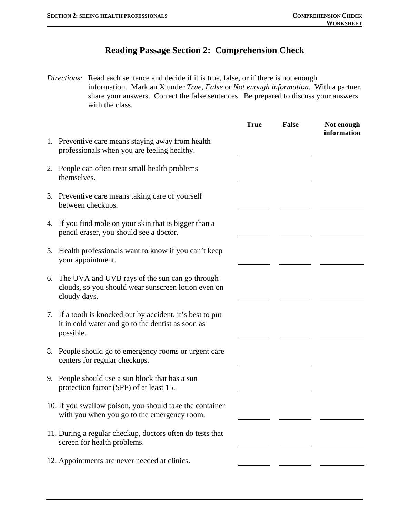## **Reading Passage Section 2: Comprehension Check**

*Directions:* Read each sentence and decide if it is true, false, or if there is not enough information. Mark an X under *True, False* or *Not enough information*. With a partner, share your answers. Correct the false sentences. Be prepared to discuss your answers with the class.

|    |                                                                                                                              | <b>True</b> | <b>False</b> | Not enough<br>information |
|----|------------------------------------------------------------------------------------------------------------------------------|-------------|--------------|---------------------------|
|    | 1. Preventive care means staying away from health<br>professionals when you are feeling healthy.                             |             |              |                           |
|    | 2. People can often treat small health problems<br>themselves.                                                               |             |              |                           |
|    | 3. Preventive care means taking care of yourself<br>between checkups.                                                        |             |              |                           |
|    | 4. If you find mole on your skin that is bigger than a<br>pencil eraser, you should see a doctor.                            |             |              |                           |
| 5. | Health professionals want to know if you can't keep<br>your appointment.                                                     |             |              |                           |
| 6. | The UVA and UVB rays of the sun can go through<br>clouds, so you should wear sunscreen lotion even on<br>cloudy days.        |             |              |                           |
|    | 7. If a tooth is knocked out by accident, it's best to put<br>it in cold water and go to the dentist as soon as<br>possible. |             |              |                           |
| 8. | People should go to emergency rooms or urgent care<br>centers for regular checkups.                                          |             |              |                           |
|    | 9. People should use a sun block that has a sun<br>protection factor (SPF) of at least 15.                                   |             |              |                           |
|    | 10. If you swallow poison, you should take the container<br>with you when you go to the emergency room.                      |             |              |                           |
|    | 11. During a regular checkup, doctors often do tests that<br>screen for health problems.                                     |             |              |                           |
|    | 12. Appointments are never needed at clinics.                                                                                |             |              |                           |